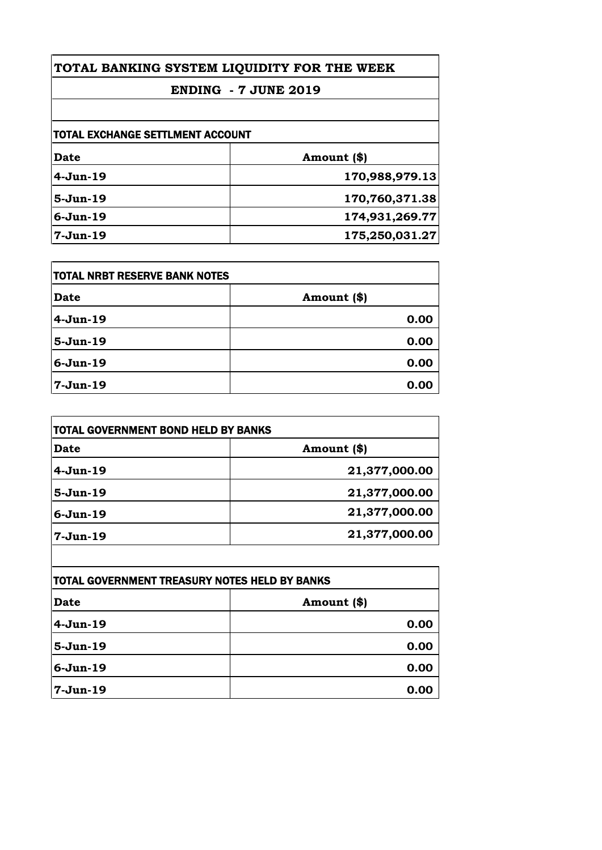## **TOTAL BANKING SYSTEM LIQUIDITY FOR THE WEEK**

# **ENDING - 7 JUNE 2019**

| TOTAL EXCHANGE SETTLMENT ACCOUNT |                |
|----------------------------------|----------------|
| Date                             | Amount (\$)    |
| $4-Jun-19$                       | 170,988,979.13 |
| $5-Jun-19$                       | 170,760,371.38 |
| $6-Jun-19$                       | 174,931,269.77 |
| $7 - Jun-19$                     | 175,250,031.27 |

| <b>TOTAL NRBT RESERVE BANK NOTES</b> |             |
|--------------------------------------|-------------|
| <b>Date</b>                          | Amount (\$) |
| $4-Jun-19$                           | 0.00        |
| $5-Jun-19$                           | 0.00        |
| $6 - Jun-19$                         | 0.00        |
| $7-Jun-19$                           | 0.00        |

| TOTAL GOVERNMENT BOND HELD BY BANKS |               |
|-------------------------------------|---------------|
| Date                                | Amount (\$)   |
| 4-Jun-19                            | 21,377,000.00 |
| $5-Jun-19$                          | 21,377,000.00 |
| $6-Jun-19$                          | 21,377,000.00 |
| 7-Jun-19                            | 21,377,000.00 |

| TOTAL GOVERNMENT TREASURY NOTES HELD BY BANKS |               |
|-----------------------------------------------|---------------|
| Date                                          | Amount $(\$)$ |
| $4-Jun-19$                                    | 0.00          |
| $5-Jun-19$                                    | 0.00          |
| $6-Jun-19$                                    | 0.00          |
| 7-Jun-19                                      | 0.00          |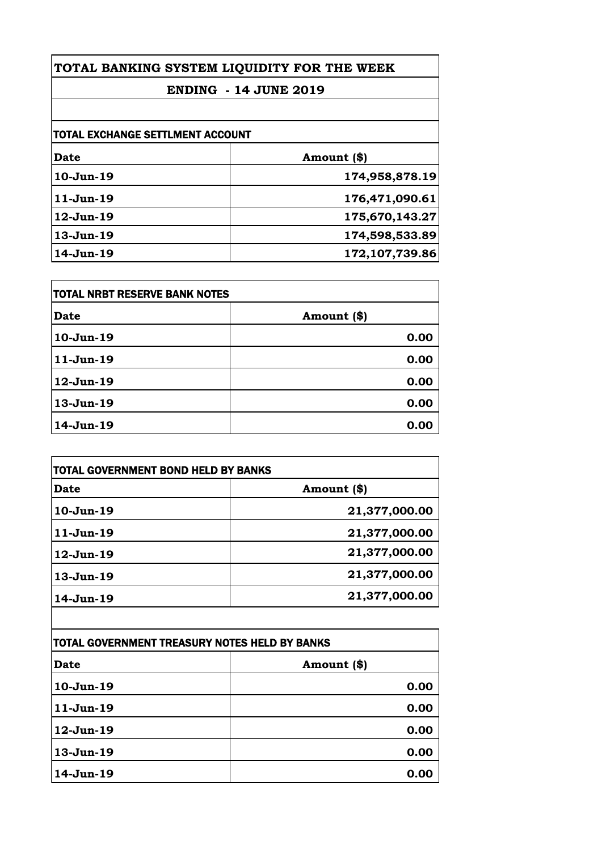# **TOTAL BANKING SYSTEM LIQUIDITY FOR THE WEEK**

# **ENDING - 14 JUNE 2019**

| <b>TOTAL EXCHANGE SETTLMENT ACCOUNT</b> |                |
|-----------------------------------------|----------------|
| Date                                    | Amount (\$)    |
| $10-Jun-19$                             | 174,958,878.19 |
| $11-Jun-19$                             | 176,471,090.61 |
| $12$ -Jun- $19$                         | 175,670,143.27 |
| $13-Jun-19$                             | 174,598,533.89 |
| $14$ -Jun- $19$                         | 172,107,739.86 |

| <b>TOTAL NRBT RESERVE BANK NOTES</b> |             |
|--------------------------------------|-------------|
| <b>Date</b>                          | Amount (\$) |
| 10-Jun-19                            | 0.00        |
| $11-Jun-19$                          | 0.00        |
| 12-Jun-19                            | 0.00        |
| 13-Jun-19                            | 0.00        |
| 14-Jun-19                            | 0.00        |

| <b>TOTAL GOVERNMENT BOND HELD BY BANKS</b> |               |
|--------------------------------------------|---------------|
| <b>Date</b>                                | Amount (\$)   |
| $10-Jun-19$                                | 21,377,000.00 |
| $11-Jun-19$                                | 21,377,000.00 |
| $12$ -Jun- $19$                            | 21,377,000.00 |
| $13-Jun-19$                                | 21,377,000.00 |
| 14-Jun-19                                  | 21,377,000.00 |

| TOTAL GOVERNMENT TREASURY NOTES HELD BY BANKS |              |
|-----------------------------------------------|--------------|
| <b>Date</b>                                   | Amount $(*)$ |
| $10-Jun-19$                                   | 0.00         |
| $11-Jun-19$                                   | 0.00         |
| 12-Jun-19                                     | 0.00         |
| 13-Jun-19                                     | 0.00         |
| 14-Jun-19                                     | 0.00         |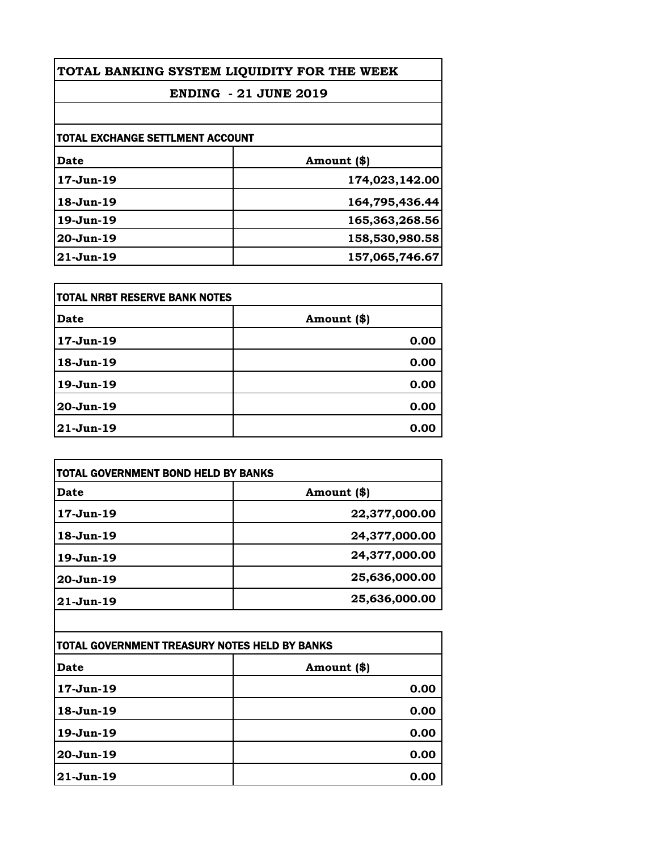| TOTAL BANKING SYSTEM LIQUIDITY FOR THE WEEK |                |
|---------------------------------------------|----------------|
| <b>ENDING - 21 JUNE 2019</b>                |                |
|                                             |                |
| TOTAL EXCHANGE SETTLMENT ACCOUNT            |                |
| <b>Date</b>                                 | Amount (\$)    |
| $17-Jun-19$                                 | 174,023,142.00 |
| $18-Jun-19$                                 | 164,795,436.44 |
| $19-Jun-19$                                 | 165,363,268.56 |
| $20-Jun-19$                                 | 158,530,980.58 |
| $21$ -Jun-19                                | 157,065,746.67 |

| TOTAL NRBT RESERVE BANK NOTES |             |
|-------------------------------|-------------|
| Date                          | Amount (\$) |
| $17 - Jun-19$                 | 0.00        |
| $18 - Jun-19$                 | 0.00        |
| 19-Jun-19                     | 0.00        |
| $20-Jun-19$                   | 0.00        |
| $21-Jun-19$                   | 0.00        |

| TOTAL GOVERNMENT BOND HELD BY BANKS |               |
|-------------------------------------|---------------|
| Date                                | Amount (\$)   |
| 17-Jun-19                           | 22,377,000.00 |
| $18-Jun-19$                         | 24,377,000.00 |
| $19-Jun-19$                         | 24,377,000.00 |
| 20-Jun-19                           | 25,636,000.00 |
| $21 - Jun-19$                       | 25,636,000.00 |
|                                     |               |

| ITOTAL GOVERNMENT TREASURY NOTES HELD BY BANKS |             |
|------------------------------------------------|-------------|
| Date                                           | Amount (\$) |
| 17-Jun-19                                      | 0.00        |
| 18-Jun-19                                      | 0.00        |
| 19-Jun-19                                      | 0.00        |
| 20-Jun-19                                      | 0.00        |
| 21-Jun-19                                      | 0.00        |